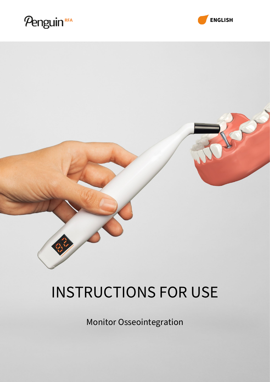# Penguin<sup>RFA</sup>



# INSTRUCTIONS FOR USE

Monitor Osseointegration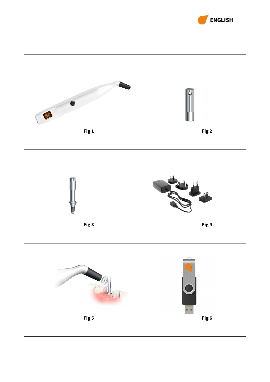



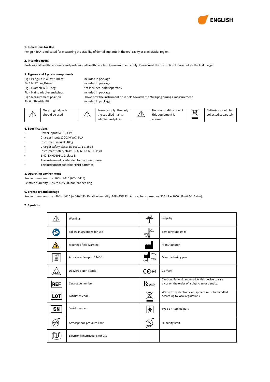

# **1. Indications for Use**

Penguin RFA is indicated for measuring the stability of dental implants in the oral cavity or craniofacial region.

# **2. Intended users**

Professional health care users and professional health care facility environments only. Please read the instruction for use before the first usage.

## **3. Figures and System components**

| Fig 1 Penguin RFA Instrument  | Included in package                                                            |
|-------------------------------|--------------------------------------------------------------------------------|
| Fig 2 MulTipeg Driver         | Included in package                                                            |
| Fig 3 Example MulTipeg        | Not included, sold separately                                                  |
| Fig 4 Mains adapter and plugs | Included in package                                                            |
| Fig 5 Measurement position    | Shows how the instrument tip is held towards the MulTipeg during a measurement |
| Fig 6 USB with IFU            | Included in package                                                            |



#### **4. Specifications**

- Power input: 5VDC, 1 VA<br>• Charger input: 100-240 V
- Charger input: 100-240 VAC, 5VA
- Instrument weight: 100g
- Charger safety class: EN 60601-1 Class II
- Instrument safety class: EN 60601-1 ME Class II
- EMC: EN 60601-1-2, class B
- The instrument is intended for continuous use
- The instrument contains NiMH batteries

# **5. Operating environment**

Ambient temperature: 16° to 40° C (60°-104° F) Relative humidity: 10% to 80% Rh, non-condensing

#### **6. Transport and storage**

Ambient temperature: -20° to 40° C (-4°-104° F). Relative humidity: 10%-85% Rh. Atmospheric pressure: 500 hPa- 1060 hPa (0.5-1.0 atm).

# **7. Symbols**

|                | Warning                         |                                  | Keep dry                                                                                            |
|----------------|---------------------------------|----------------------------------|-----------------------------------------------------------------------------------------------------|
|                | Follow instructions for use     | $\sqrt{\omega}$<br>$-20^{\circ}$ | Temperature limits                                                                                  |
|                | Magnetic field warning          |                                  | Manufacturer                                                                                        |
| 134 °C<br>쌌    | Autoclavable up to 134° C       | 20XX<br>20XX<br>୷⊓               | Manufacturing year                                                                                  |
| <b>STERILE</b> | Delivered Non-sterile           | C6402                            | CE mark                                                                                             |
| REF            | Catalogue number                | $R_{\rm only}$                   | Caution: Federal law restricts this device to sale<br>by or on the order of a physician or dentist. |
| LOT            | Lot/Batch code                  |                                  | Waste from electronic equipment must be handled<br>according to local regulations                   |
| SN             | Serial number                   | $\overline{\bm{\Lambda}}$        | Type BF Applied part                                                                                |
|                | Atmospheric pressure limit      | <u>%</u>                         | <b>Humidity limit</b>                                                                               |
|                | Electronic instructions for use |                                  |                                                                                                     |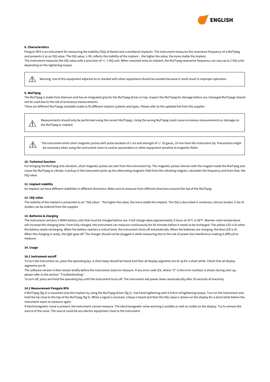

# **8. Characteristics**

Penguin RFA is an instrument for measuring the stability (ISQ) of dental and craniofacial implants. The instrument measures the resonance frequency of a MulTipeg and presents it as an ISQ value. The ISQ value, 1-99, reflects the stability of the implant – the higher the value, the more stable the implant. The instrument measures the ISQ-value with a precision of +/-1 ISQ unit. When mounted onto an implant, the MulTipeg resonance frequency can vary up to 2 ISQ units depending on the tightening torque.

Warning: Use of this equipment adjacent to or stacked with other equipment should be avoided because it could result in improper operation.

#### **9. MulTipeg**

 $\sqrt{N}$ 

 $\bigwedge$ 

The MulTipeg is made from titanium and has an integrated grip for the MulTipeg driver on top. Inspect the MulTipeg for damage before use. Damaged MulTipegs should not be used due to the risk of erroneous measurements.

There are different MulTipegs available made to fit different implant systems and types. Please refer to the updated list from the supplier.

Measurements should only be performed using the correct MulTipegs. Using the wrong MulTipeg could cause erroneous measurements or damages to  $\sqrt{N}$ the MulTipeg or implant.

The instrument emits short magnetic pulses with pulse duration of 1 ms and strength of +/-20 gauss, 10 mm from the instrument tip. Precautions might be necessary when using the instrument close to cardiac pacemakers or other equipment sensitive to magnetic fields.

#### **10. Technical function**

For bringing the MulTipeg into vibration, short magnetic pulses are sent from the instrument tip. The magnetic pulses interact with the magnet inside the MulTipeg and cause the MulTipeg to vibrate. A pickup in the instrument picks up the alternating magnetic field from the vibrating magnet, calculates the frequency and from that, the ISQ value.

#### **11. Implant stability**

An implant can have different stabilities in different directions. Make sure to measure from different directions around the top of the MulTipeg.

#### **12. ISQ-value**

The stability of the implant is presented as an "ISQ value". The higher the value, the more stable the implant. The ISQ is described in numerous clinical studies. A list of studies can be ordered from the supplier.

#### **13. Batteries & charging**

The instrument contains 2 NiMH battery cells that must be charged before use. A full charge takes approximately 3 hours at 20°C or 68°F. Warmer room temperature will increase the charging time. From fully charged, the instrument can measure continuously for 60 minutes before it needs to be recharged. The yellow LED is lit when the battery needs recharging. When the battery reaches a critical level, the instrument shuts off automatically. When the batteries are charging, the blue LED is lit. When the charging is ready, the light goes off. The charger should not be plugged in while measuring due to the risk of power line interference making it difficult to measure.

#### **14. Usage**

#### **14.1 Instrument on/off**

To turn the instrument on, press the operating key. A short beep should be heard and then all display segments are lit up for a short while. Check that all display segments are lit.

The software version is then shown briefly before the instrument starts to measure. If any error code (EX, where "X" is the error number) is shown during start up, please refer to the section "Troubleshooting".

To turn off, press and hold the operating key until the instrument turns off. The instrument will power down automatically after 30 seconds of inactivity.

#### **14.2 Measurement Penguin RFA**

A MulTipeg (fig 3) is mounted onto the implant by using the MulTipeg driver (fig 2). Use hand-tightening with 6-8 Ncm of tightening torque. Turn on the instrument and hold the tip close to the top of the MulTipeg (fig 5). When a signal is received, a beep is heard and then the ISQ-value is shown on the display for a short while before the instrument starts to measure again.

If electromagnetic noise is present, the instrument cannot measure. The electromagnetic noise warning is audible as well as visible on the display. Try to remove the source of the noise. The source could be any electric equipment close to the instrument.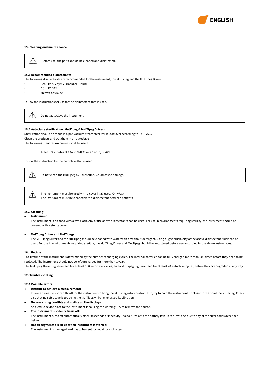

# **15. Cleaning and maintenance**



Before use, the parts should be cleaned and disinfected.

#### **15.1 Recommended disinfectants**

The following disinfectants are recommended for the instrument, the MulTipeg and the MulTipeg Driver:

- Schülke & Mayr: Mikrozid AF Liquid
- Dürr: FD 322
- Metrex: CaviCide

Follow the instructions for use for the disinfectant that is used.

 $\bigwedge$ Do not autoclave the instrument

#### **15.2 Autoclave sterilization (MulTipeg & MulTipeg Driver)**

Sterilization should be made in a pre-vacuum steam sterilizer (autoclave) according to ISO 17665-1. Clean the products and put them in an autoclave The following sterilization process shall be used:

• At least 3 Minutes at 134 (-1/+4)°C or 273(-1.6/+7.4)°F

Follow the instruction for the autoclave that is used.

 $/ \mathbb{N}$ Do not clean the MulTipeg by ultrasound. Could cause damage.

The instrument must be used with a cover in all uses. (Only US)  $\sqrt{1}$ The instrument must be cleaned with a disinfectant between patients.

#### **15.3 Cleaning**

#### • **Instrument**

The instrument is cleaned with a wet cloth. Any of the above disinfectants can be used. For use in environments requiring sterility, the instrument should be covered with a sterile cover.

#### • **MulTipeg Driver and MulTipegs**

The MulTipeg Driver and the MulTipeg should be cleaned with water with or without detergent, using a light brush. Any of the above disinfectant fluids can be used. For use in environments requiring sterility, the MulTipeg Driver and MulTipeg should be autoclaved before use according to the above instructions.

#### **16. Lifetime**

The lifetime of the instrument is determined by the number of charging cycles. The internal batteries can be fully charged more than 500 times before they need to be replaced. The instrument should not be left uncharged for more than 1 year.

The MulTipeg Driver is guaranteed for at least 100 autoclave cycles, and a MulTipeg is guaranteed for at least 20 autoclave cycles, before they are degraded in any way.

# **17. Troubleshooting**

# **17.1 Possible errors**

• **Difficult to achieve a measurement:**

In some cases it is more difficult for the instrument to bring the MulTipeg into vibration. If so, try to hold the instrument tip closer to the tip of the MulTipeg. Check also that no soft tissue is touching the MulTipeg which might stop its vibration.

- **Noise warning (audible and visible on the display):** An electric device close to the instrument is causing the warning. Try to remove the source. • **The instrument suddenly turns off:**
- The instrument turns off automatically after 30 seconds of inactivity. It also turns off if the battery level is too low, and due to any of the error codes described below.
- **Not all segments are lit up when instrument is started:** The instrument is damaged and has to be sent for repair or exchange.